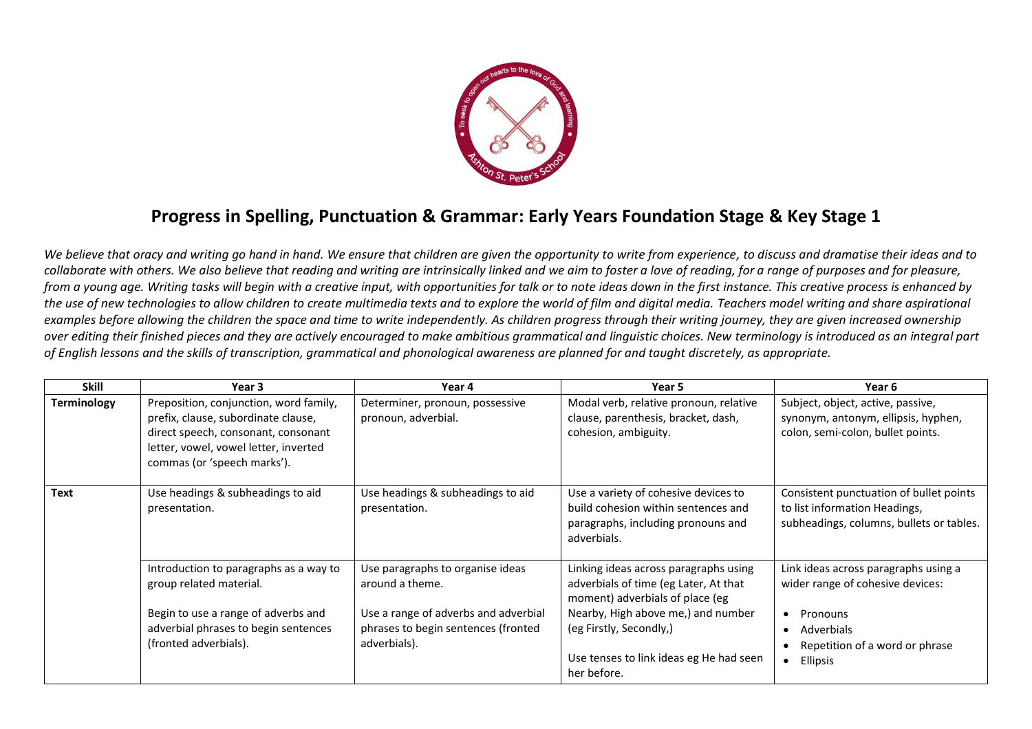

## **Progress in Spelling, Punctuation & Grammar: Early Years Foundation Stage & Key Stage 1**

*We believe that oracy and writing go hand in hand. We ensure that children are given the opportunity to write from experience, to discuss and dramatise their ideas and to collaborate with others. We also believe that reading and writing are intrinsically linked and we aim to foster a love of reading, for a range of purposes and for pleasure, from a young age. Writing tasks will begin with a creative input, with opportunities for talk or to note ideas down in the first instance. This creative process is enhanced by the use of new technologies to allow children to create multimedia texts and to explore the world of film and digital media. Teachers model writing and share aspirational examples before allowing the children the space and time to write independently. As children progress through their writing journey, they are given increased ownership over editing their finished pieces and they are actively encouraged to make ambitious grammatical and linguistic choices. New terminology is introduced as an integral part of English lessons and the skills of transcription, grammatical and phonological awareness are planned for and taught discretely, as appropriate.* 

| <b>Skill</b>       | Year 3                                                                                                                                                                                       | Year 4                                                                                                                                             | Year 5                                                                                                                                                                                                                                       | Year 6                                                                                                                                                    |
|--------------------|----------------------------------------------------------------------------------------------------------------------------------------------------------------------------------------------|----------------------------------------------------------------------------------------------------------------------------------------------------|----------------------------------------------------------------------------------------------------------------------------------------------------------------------------------------------------------------------------------------------|-----------------------------------------------------------------------------------------------------------------------------------------------------------|
| <b>Terminology</b> | Preposition, conjunction, word family,<br>prefix, clause, subordinate clause,<br>direct speech, consonant, consonant<br>letter, vowel, vowel letter, inverted<br>commas (or 'speech marks'). | Determiner, pronoun, possessive<br>pronoun, adverbial.                                                                                             | Modal verb, relative pronoun, relative<br>clause, parenthesis, bracket, dash,<br>cohesion, ambiguity.                                                                                                                                        | Subject, object, active, passive,<br>synonym, antonym, ellipsis, hyphen,<br>colon, semi-colon, bullet points.                                             |
| <b>Text</b>        | Use headings & subheadings to aid<br>presentation.                                                                                                                                           | Use headings & subheadings to aid<br>presentation.                                                                                                 | Use a variety of cohesive devices to<br>build cohesion within sentences and<br>paragraphs, including pronouns and<br>adverbials.                                                                                                             | Consistent punctuation of bullet points<br>to list information Headings,<br>subheadings, columns, bullets or tables.                                      |
|                    | Introduction to paragraphs as a way to<br>group related material.<br>Begin to use a range of adverbs and<br>adverbial phrases to begin sentences<br>(fronted adverbials).                    | Use paragraphs to organise ideas<br>around a theme.<br>Use a range of adverbs and adverbial<br>phrases to begin sentences (fronted<br>adverbials). | Linking ideas across paragraphs using<br>adverbials of time (eg Later, At that<br>moment) adverbials of place (eg<br>Nearby, High above me,) and number<br>(eg Firstly, Secondly,)<br>Use tenses to link ideas eg He had seen<br>her before. | Link ideas across paragraphs using a<br>wider range of cohesive devices:<br>Pronouns<br>• Adverbials<br>Repetition of a word or phrase<br><b>Ellipsis</b> |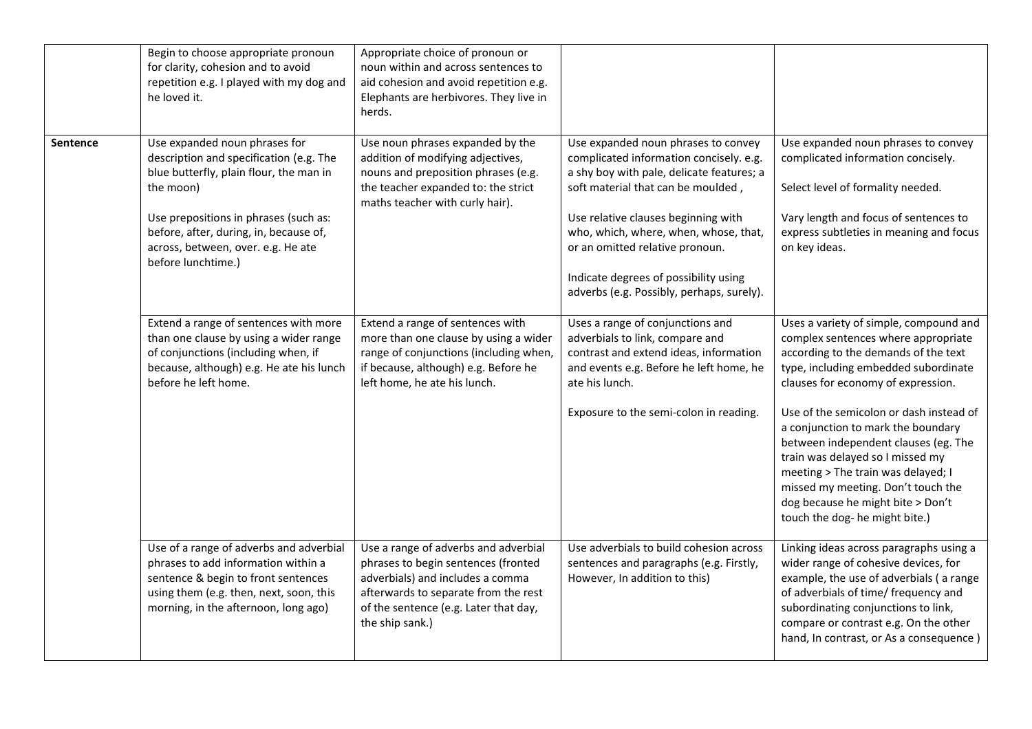|                 | Begin to choose appropriate pronoun<br>for clarity, cohesion and to avoid<br>repetition e.g. I played with my dog and<br>he loved it.                                                                                                                                           | Appropriate choice of pronoun or<br>noun within and across sentences to<br>aid cohesion and avoid repetition e.g.<br>Elephants are herbivores. They live in<br>herds.                                               |                                                                                                                                                                                                                                                                                                                                                                            |                                                                                                                                                                                                                                                                                                                                                                                                                                                                                                                     |
|-----------------|---------------------------------------------------------------------------------------------------------------------------------------------------------------------------------------------------------------------------------------------------------------------------------|---------------------------------------------------------------------------------------------------------------------------------------------------------------------------------------------------------------------|----------------------------------------------------------------------------------------------------------------------------------------------------------------------------------------------------------------------------------------------------------------------------------------------------------------------------------------------------------------------------|---------------------------------------------------------------------------------------------------------------------------------------------------------------------------------------------------------------------------------------------------------------------------------------------------------------------------------------------------------------------------------------------------------------------------------------------------------------------------------------------------------------------|
| <b>Sentence</b> | Use expanded noun phrases for<br>description and specification (e.g. The<br>blue butterfly, plain flour, the man in<br>the moon)<br>Use prepositions in phrases (such as:<br>before, after, during, in, because of,<br>across, between, over. e.g. He ate<br>before lunchtime.) | Use noun phrases expanded by the<br>addition of modifying adjectives,<br>nouns and preposition phrases (e.g.<br>the teacher expanded to: the strict<br>maths teacher with curly hair).                              | Use expanded noun phrases to convey<br>complicated information concisely. e.g.<br>a shy boy with pale, delicate features; a<br>soft material that can be moulded,<br>Use relative clauses beginning with<br>who, which, where, when, whose, that,<br>or an omitted relative pronoun.<br>Indicate degrees of possibility using<br>adverbs (e.g. Possibly, perhaps, surely). | Use expanded noun phrases to convey<br>complicated information concisely.<br>Select level of formality needed.<br>Vary length and focus of sentences to<br>express subtleties in meaning and focus<br>on key ideas.                                                                                                                                                                                                                                                                                                 |
|                 | Extend a range of sentences with more<br>than one clause by using a wider range<br>of conjunctions (including when, if<br>because, although) e.g. He ate his lunch<br>before he left home.                                                                                      | Extend a range of sentences with<br>more than one clause by using a wider<br>range of conjunctions (including when,<br>if because, although) e.g. Before he<br>left home, he ate his lunch.                         | Uses a range of conjunctions and<br>adverbials to link, compare and<br>contrast and extend ideas, information<br>and events e.g. Before he left home, he<br>ate his lunch.<br>Exposure to the semi-colon in reading.                                                                                                                                                       | Uses a variety of simple, compound and<br>complex sentences where appropriate<br>according to the demands of the text<br>type, including embedded subordinate<br>clauses for economy of expression.<br>Use of the semicolon or dash instead of<br>a conjunction to mark the boundary<br>between independent clauses (eg. The<br>train was delayed so I missed my<br>meeting > The train was delayed; I<br>missed my meeting. Don't touch the<br>dog because he might bite > Don't<br>touch the dog- he might bite.) |
|                 | Use of a range of adverbs and adverbial<br>phrases to add information within a<br>sentence & begin to front sentences<br>using them (e.g. then, next, soon, this<br>morning, in the afternoon, long ago)                                                                        | Use a range of adverbs and adverbial<br>phrases to begin sentences (fronted<br>adverbials) and includes a comma<br>afterwards to separate from the rest<br>of the sentence (e.g. Later that day,<br>the ship sank.) | Use adverbials to build cohesion across<br>sentences and paragraphs (e.g. Firstly,<br>However, In addition to this)                                                                                                                                                                                                                                                        | Linking ideas across paragraphs using a<br>wider range of cohesive devices, for<br>example, the use of adverbials (a range<br>of adverbials of time/ frequency and<br>subordinating conjunctions to link,<br>compare or contrast e.g. On the other<br>hand, In contrast, or As a consequence)                                                                                                                                                                                                                       |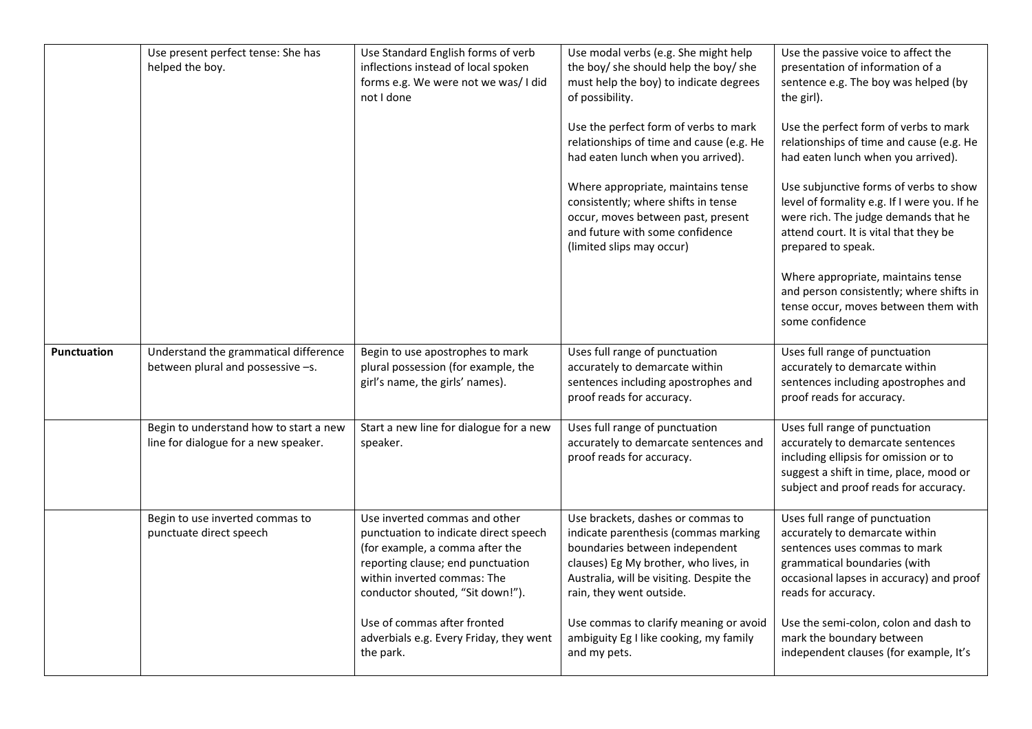|                    | Use present perfect tense: She has<br>helped the boy.                          | Use Standard English forms of verb<br>inflections instead of local spoken<br>forms e.g. We were not we was/ I did<br>not I done                                                                                   | Use modal verbs (e.g. She might help<br>the boy/ she should help the boy/ she<br>must help the boy) to indicate degrees<br>of possibility.<br>Use the perfect form of verbs to mark<br>relationships of time and cause (e.g. He<br>had eaten lunch when you arrived).<br>Where appropriate, maintains tense<br>consistently; where shifts in tense<br>occur, moves between past, present | Use the passive voice to affect the<br>presentation of information of a<br>sentence e.g. The boy was helped (by<br>the girl).<br>Use the perfect form of verbs to mark<br>relationships of time and cause (e.g. He<br>had eaten lunch when you arrived).<br>Use subjunctive forms of verbs to show<br>level of formality e.g. If I were you. If he<br>were rich. The judge demands that he |
|--------------------|--------------------------------------------------------------------------------|-------------------------------------------------------------------------------------------------------------------------------------------------------------------------------------------------------------------|------------------------------------------------------------------------------------------------------------------------------------------------------------------------------------------------------------------------------------------------------------------------------------------------------------------------------------------------------------------------------------------|--------------------------------------------------------------------------------------------------------------------------------------------------------------------------------------------------------------------------------------------------------------------------------------------------------------------------------------------------------------------------------------------|
|                    |                                                                                |                                                                                                                                                                                                                   | and future with some confidence<br>(limited slips may occur)                                                                                                                                                                                                                                                                                                                             | attend court. It is vital that they be<br>prepared to speak.<br>Where appropriate, maintains tense<br>and person consistently; where shifts in<br>tense occur, moves between them with<br>some confidence                                                                                                                                                                                  |
| <b>Punctuation</b> | Understand the grammatical difference<br>between plural and possessive -s.     | Begin to use apostrophes to mark<br>plural possession (for example, the<br>girl's name, the girls' names).                                                                                                        | Uses full range of punctuation<br>accurately to demarcate within<br>sentences including apostrophes and<br>proof reads for accuracy.                                                                                                                                                                                                                                                     | Uses full range of punctuation<br>accurately to demarcate within<br>sentences including apostrophes and<br>proof reads for accuracy.                                                                                                                                                                                                                                                       |
|                    | Begin to understand how to start a new<br>line for dialogue for a new speaker. | Start a new line for dialogue for a new<br>speaker.                                                                                                                                                               | Uses full range of punctuation<br>accurately to demarcate sentences and<br>proof reads for accuracy.                                                                                                                                                                                                                                                                                     | Uses full range of punctuation<br>accurately to demarcate sentences<br>including ellipsis for omission or to<br>suggest a shift in time, place, mood or<br>subject and proof reads for accuracy.                                                                                                                                                                                           |
|                    | Begin to use inverted commas to<br>punctuate direct speech                     | Use inverted commas and other<br>punctuation to indicate direct speech<br>(for example, a comma after the<br>reporting clause; end punctuation<br>within inverted commas: The<br>conductor shouted, "Sit down!"). | Use brackets, dashes or commas to<br>indicate parenthesis (commas marking<br>boundaries between independent<br>clauses) Eg My brother, who lives, in<br>Australia, will be visiting. Despite the<br>rain, they went outside.                                                                                                                                                             | Uses full range of punctuation<br>accurately to demarcate within<br>sentences uses commas to mark<br>grammatical boundaries (with<br>occasional lapses in accuracy) and proof<br>reads for accuracy.                                                                                                                                                                                       |
|                    |                                                                                | Use of commas after fronted<br>adverbials e.g. Every Friday, they went<br>the park.                                                                                                                               | Use commas to clarify meaning or avoid<br>ambiguity Eg I like cooking, my family<br>and my pets.                                                                                                                                                                                                                                                                                         | Use the semi-colon, colon and dash to<br>mark the boundary between<br>independent clauses (for example, It's                                                                                                                                                                                                                                                                               |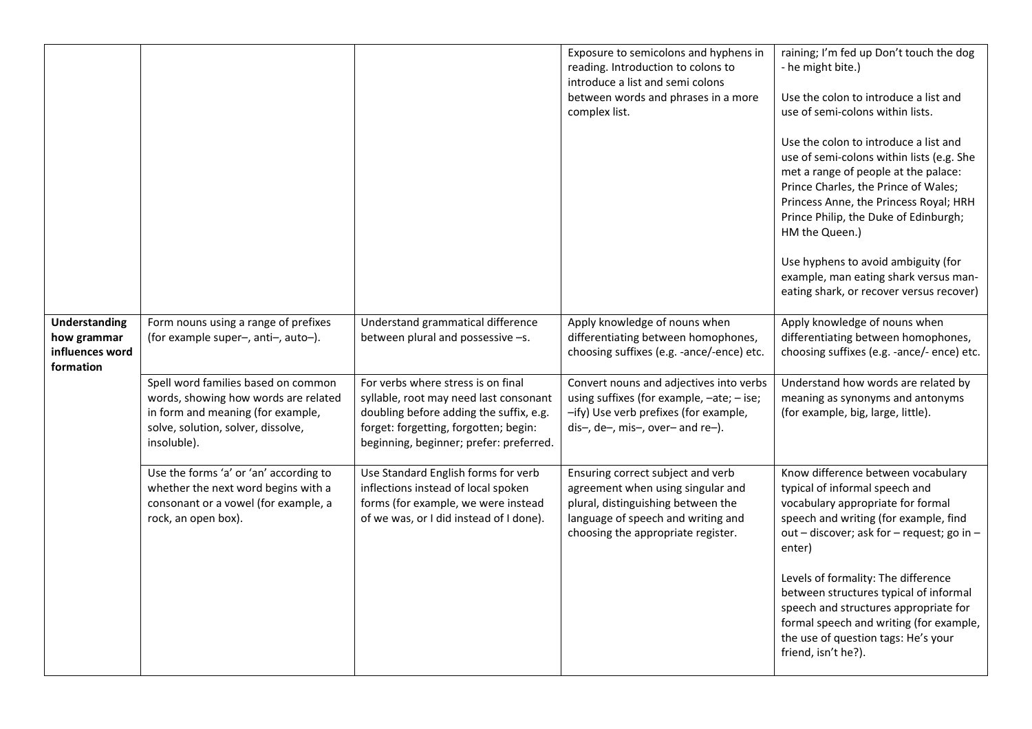|                                                                     |                                                                                                                                                                       |                                                                                                                                                                                                             | Exposure to semicolons and hyphens in<br>reading. Introduction to colons to<br>introduce a list and semi colons<br>between words and phrases in a more<br>complex list.                  | raining; I'm fed up Don't touch the dog<br>- he might bite.)<br>Use the colon to introduce a list and<br>use of semi-colons within lists.<br>Use the colon to introduce a list and<br>use of semi-colons within lists (e.g. She<br>met a range of people at the palace:<br>Prince Charles, the Prince of Wales;<br>Princess Anne, the Princess Royal; HRH<br>Prince Philip, the Duke of Edinburgh;<br>HM the Queen.)<br>Use hyphens to avoid ambiguity (for<br>example, man eating shark versus man-<br>eating shark, or recover versus recover) |
|---------------------------------------------------------------------|-----------------------------------------------------------------------------------------------------------------------------------------------------------------------|-------------------------------------------------------------------------------------------------------------------------------------------------------------------------------------------------------------|------------------------------------------------------------------------------------------------------------------------------------------------------------------------------------------|--------------------------------------------------------------------------------------------------------------------------------------------------------------------------------------------------------------------------------------------------------------------------------------------------------------------------------------------------------------------------------------------------------------------------------------------------------------------------------------------------------------------------------------------------|
| <b>Understanding</b><br>how grammar<br>influences word<br>formation | Form nouns using a range of prefixes<br>(for example super-, anti-, auto-).                                                                                           | Understand grammatical difference<br>between plural and possessive -s.                                                                                                                                      | Apply knowledge of nouns when<br>differentiating between homophones,<br>choosing suffixes (e.g. -ance/-ence) etc.                                                                        | Apply knowledge of nouns when<br>differentiating between homophones,<br>choosing suffixes (e.g. -ance/- ence) etc.                                                                                                                                                                                                                                                                                                                                                                                                                               |
|                                                                     | Spell word families based on common<br>words, showing how words are related<br>in form and meaning (for example,<br>solve, solution, solver, dissolve,<br>insoluble). | For verbs where stress is on final<br>syllable, root may need last consonant<br>doubling before adding the suffix, e.g.<br>forget: forgetting, forgotten; begin:<br>beginning, beginner; prefer: preferred. | Convert nouns and adjectives into verbs<br>using suffixes (for example, -ate; - ise;<br>-ify) Use verb prefixes (for example,<br>dis-, de-, mis-, over- and re-).                        | Understand how words are related by<br>meaning as synonyms and antonyms<br>(for example, big, large, little).                                                                                                                                                                                                                                                                                                                                                                                                                                    |
|                                                                     | Use the forms 'a' or 'an' according to<br>whether the next word begins with a<br>consonant or a vowel (for example, a<br>rock, an open box).                          | Use Standard English forms for verb<br>inflections instead of local spoken<br>forms (for example, we were instead<br>of we was, or I did instead of I done).                                                | Ensuring correct subject and verb<br>agreement when using singular and<br>plural, distinguishing between the<br>language of speech and writing and<br>choosing the appropriate register. | Know difference between vocabulary<br>typical of informal speech and<br>vocabulary appropriate for formal<br>speech and writing (for example, find<br>out - discover; ask for - request; go in -<br>enter)                                                                                                                                                                                                                                                                                                                                       |
|                                                                     |                                                                                                                                                                       |                                                                                                                                                                                                             |                                                                                                                                                                                          | Levels of formality: The difference<br>between structures typical of informal<br>speech and structures appropriate for<br>formal speech and writing (for example,<br>the use of question tags: He's your<br>friend, isn't he?).                                                                                                                                                                                                                                                                                                                  |